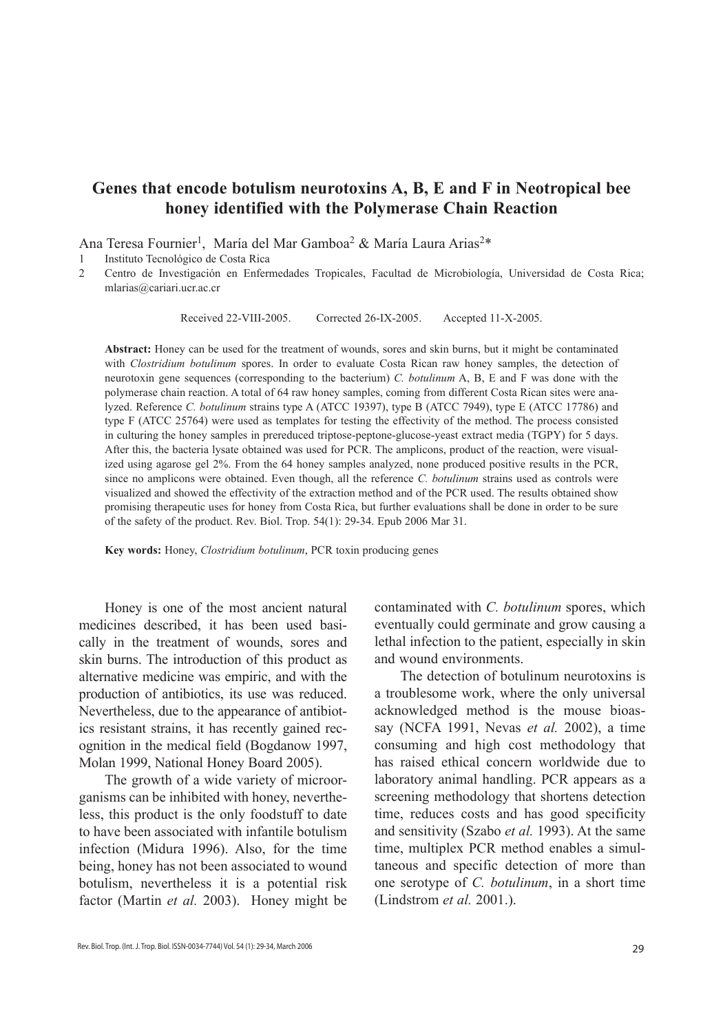# **Genes that encode botulism neurotoxins A, B, E and F in Neotropical bee honey identified with the Polymerase Chain Reaction**

Ana Teresa Fournier<sup>1</sup>, María del Mar Gamboa<sup>2</sup> & María Laura Arias<sup>2\*</sup>

1 Instituto Tecnológico de Costa Rica

2 Centro de Investigación en Enfermedades Tropicales, Facultad de Microbiología, Universidad de Costa Rica; mlarias@cariari.ucr.ac.cr

Received 22-VIII-2005. Corrected 26-IX-2005. Accepted 11-X-2005.

**Abstract:** Honey can be used for the treatment of wounds, sores and skin burns, but it might be contaminated with *Clostridium botulinum* spores. In order to evaluate Costa Rican raw honey samples, the detection of neurotoxin gene sequences (corresponding to the bacterium) *C. botulinum* A, B, E and F was done with the polymerase chain reaction. A total of 64 raw honey samples, coming from different Costa Rican sites were analyzed. Reference *C. botulinum* strains type A (ATCC 19397), type B (ATCC 7949), type E (ATCC 17786) and type F (ATCC 25764) were used as templates for testing the effectivity of the method. The process consisted in culturing the honey samples in prereduced triptose-peptone-glucose-yeast extract media (TGPY) for 5 days. After this, the bacteria lysate obtained was used for PCR. The amplicons, product of the reaction, were visualized using agarose gel 2%. From the 64 honey samples analyzed, none produced positive results in the PCR, since no amplicons were obtained. Even though, all the reference *C. botulinum* strains used as controls were visualized and showed the effectivity of the extraction method and of the PCR used. The results obtained show promising therapeutic uses for honey from Costa Rica, but further evaluations shall be done in order to be sure of the safety of the product. Rev. Biol. Trop. 54(1): 29-34. Epub 2006 Mar 31.

**Key words:** Honey, *Clostridium botulinum*, PCR toxin producing genes

Honey is one of the most ancient natural medicines described, it has been used basically in the treatment of wounds, sores and skin burns. The introduction of this product as alternative medicine was empiric, and with the production of antibiotics, its use was reduced. Nevertheless, due to the appearance of antibiotics resistant strains, it has recently gained recognition in the medical field (Bogdanow 1997, Molan 1999, National Honey Board 2005).

The growth of a wide variety of microorganisms can be inhibited with honey, nevertheless, this product is the only foodstuff to date to have been associated with infantile botulism infection (Midura 1996). Also, for the time being, honey has not been associated to wound botulism, nevertheless it is a potential risk factor (Martin *et al.* 2003). Honey might be contaminated with *C. botulinum* spores, which eventually could germinate and grow causing a lethal infection to the patient, especially in skin and wound environments.

The detection of botulinum neurotoxins is a troublesome work, where the only universal acknowledged method is the mouse bioassay (NCFA 1991, Nevas *et al.* 2002), a time consuming and high cost methodology that has raised ethical concern worldwide due to laboratory animal handling. PCR appears as a screening methodology that shortens detection time, reduces costs and has good specificity and sensitivity (Szabo *et al.* 1993). At the same time, multiplex PCR method enables a simultaneous and specific detection of more than one serotype of *C. botulinum*, in a short time (Lindstrom *et al.* 2001.).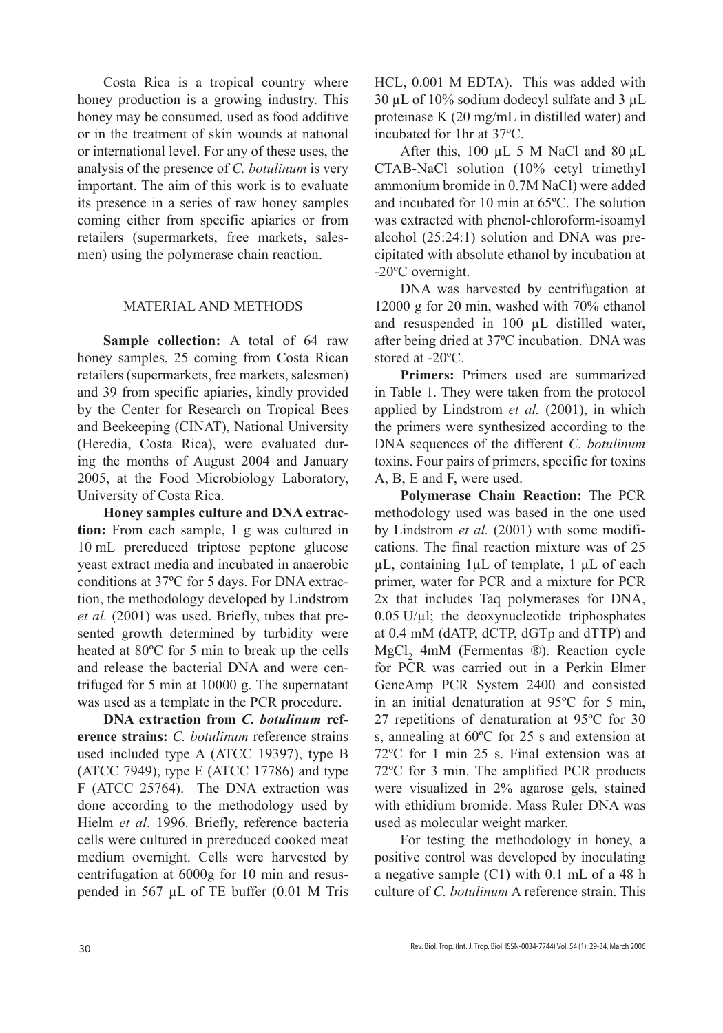Costa Rica is a tropical country where honey production is a growing industry. This honey may be consumed, used as food additive or in the treatment of skin wounds at national or international level. For any of these uses, the analysis of the presence of *C. botulinum* is very important. The aim of this work is to evaluate its presence in a series of raw honey samples coming either from specific apiaries or from retailers (supermarkets, free markets, salesmen) using the polymerase chain reaction.

## MATERIAL AND METHODS

**Sample collection:** A total of 64 raw honey samples, 25 coming from Costa Rican retailers (supermarkets, free markets, salesmen) and 39 from specific apiaries, kindly provided by the Center for Research on Tropical Bees and Beekeeping (CINAT), National University (Heredia, Costa Rica), were evaluated during the months of August 2004 and January 2005, at the Food Microbiology Laboratory, University of Costa Rica.

**Honey samples culture and DNA extraction:** From each sample, 1 g was cultured in 10 mL prereduced triptose peptone glucose yeast extract media and incubated in anaerobic conditions at 37ºC for 5 days. For DNA extraction, the methodology developed by Lindstrom *et al.* (2001) was used. Briefly, tubes that presented growth determined by turbidity were heated at 80ºC for 5 min to break up the cells and release the bacterial DNA and were centrifuged for 5 min at 10000 g. The supernatant was used as a template in the PCR procedure.

**DNA extraction from** *C. botulinum* **reference strains:** *C. botulinum* reference strains used included type A (ATCC 19397), type B (ATCC 7949), type E (ATCC 17786) and type F (ATCC 25764). The DNA extraction was done according to the methodology used by Hielm *et al*. 1996. Briefly, reference bacteria cells were cultured in prereduced cooked meat medium overnight. Cells were harvested by centrifugation at 6000g for 10 min and resuspended in 567 µL of TE buffer (0.01 M Tris HCL, 0.001 M EDTA). This was added with  $30 \mu L$  of 10% sodium dodecyl sulfate and 3  $\mu L$ proteinase K (20 mg/mL in distilled water) and incubated for 1hr at 37ºC.

After this,  $100 \mu L$  5 M NaCl and  $80 \mu L$ CTAB-NaCl solution (10% cetyl trimethyl ammonium bromide in 0.7M NaCl) were added and incubated for 10 min at 65ºC. The solution was extracted with phenol-chloroform-isoamyl alcohol (25:24:1) solution and DNA was precipitated with absolute ethanol by incubation at -20ºC overnight.

DNA was harvested by centrifugation at 12000 g for 20 min, washed with 70% ethanol and resuspended in 100 µL distilled water, after being dried at 37ºC incubation. DNA was stored at -20ºC.

**Primers:** Primers used are summarized in Table 1. They were taken from the protocol applied by Lindstrom *et al.* (2001), in which the primers were synthesized according to the DNA sequences of the different *C. botulinum* toxins. Four pairs of primers, specific for toxins A, B, E and F, were used.

**Polymerase Chain Reaction:** The PCR methodology used was based in the one used by Lindstrom *et al.* (2001) with some modifications. The final reaction mixture was of 25 µL, containing 1µL of template, 1 µL of each primer, water for PCR and a mixture for PCR 2x that includes Taq polymerases for DNA,  $0.05$  U/ $\mu$ l; the deoxynucleotide triphosphates at 0.4 mM (dATP, dCTP, dGTp and dTTP) and MgCl, 4mM (Fermentas ®). Reaction cycle for PCR was carried out in a Perkin Elmer GeneAmp PCR System 2400 and consisted in an initial denaturation at 95ºC for 5 min, 27 repetitions of denaturation at 95ºC for 30 s, annealing at 60ºC for 25 s and extension at 72ºC for 1 min 25 s. Final extension was at 72ºC for 3 min. The amplified PCR products were visualized in 2% agarose gels, stained with ethidium bromide. Mass Ruler DNA was used as molecular weight marker.

For testing the methodology in honey, a positive control was developed by inoculating a negative sample (C1) with 0.1 mL of a 48 h culture of *C. botulinum* A reference strain. This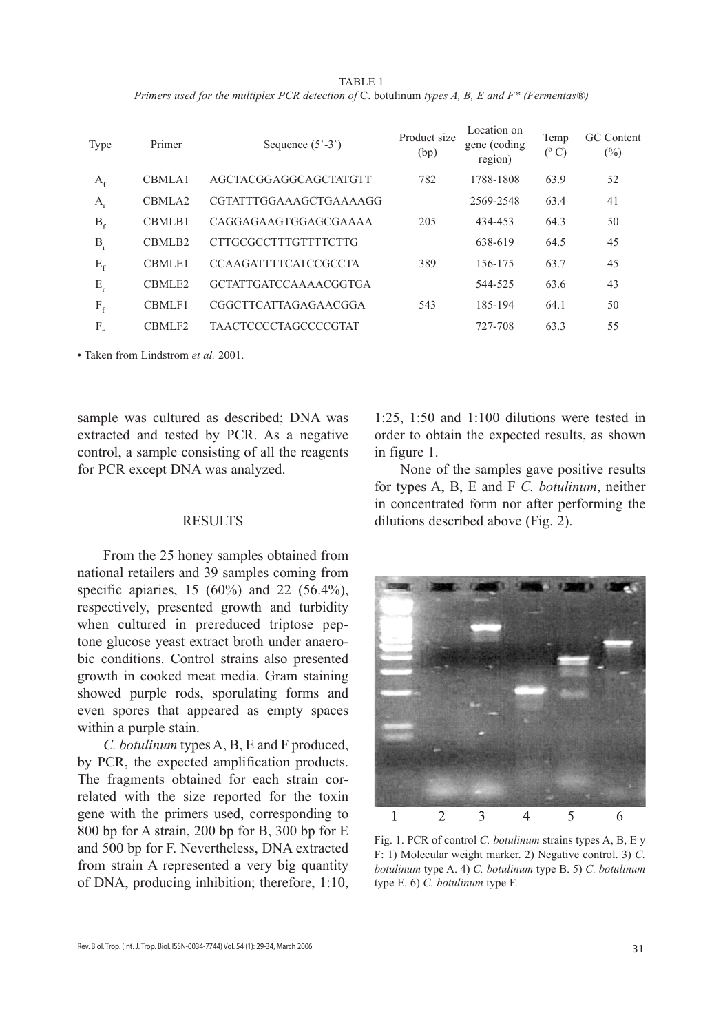TABLE 1 *Primers used for the multiplex PCR detection of* C. botulinum *types A, B, E and F\* (Fermentas®)*

| Type    | Primer             | Sequence $(5^{\circ}-3^{\circ})$ | Product size<br>(bp) | Location on<br>gene (coding)<br>region) | Temp<br>$(^{\circ}C)$ | GC Content<br>$(\%)$ |
|---------|--------------------|----------------------------------|----------------------|-----------------------------------------|-----------------------|----------------------|
| $A_f$   | CBMLA1             | AGCTACGGAGGCAGCTATGTT            | 782                  | 1788-1808                               | 63.9                  | 52                   |
| $A_{r}$ | CBMLA <sub>2</sub> | CGTATTTGGAAAGCTGAAAAGG           |                      | 2569-2548                               | 63.4                  | 41                   |
| $B_f$   | CBMLB1             | CAGGAGAAGTGGAGCGAAAA             | 205                  | 434-453                                 | 64.3                  | 50                   |
| $B_r$   | CBMLB <sub>2</sub> | <b>CTTGCGCCTTTGTTTTCTTG</b>      |                      | 638-619                                 | 64.5                  | 45                   |
| $E_f$   | <b>CBMLE1</b>      | <b>CCAAGATTTTCATCCGCCTA</b>      | 389                  | 156-175                                 | 63.7                  | 45                   |
| $E_r$   | CBMLE <sub>2</sub> | <b>GCTATTGATCCAAAACGGTGA</b>     |                      | 544-525                                 | 63.6                  | 43                   |
| $F_f$   | CBMLF1             | CGGCTTCATTAGAGAACGGA             | 543                  | 185-194                                 | 64.1                  | 50                   |
| $F_r$   | CBMLF <sub>2</sub> | <b>TAACTCCCCTAGCCCCGTAT</b>      |                      | 727-708                                 | 63.3                  | 55                   |
|         |                    |                                  |                      |                                         |                       |                      |

• Taken from Lindstrom *et al.* 2001.

sample was cultured as described; DNA was extracted and tested by PCR. As a negative control, a sample consisting of all the reagents for PCR except DNA was analyzed.

#### **RESULTS**

From the 25 honey samples obtained from national retailers and 39 samples coming from specific apiaries, 15 (60%) and 22 (56.4%), respectively, presented growth and turbidity when cultured in prereduced triptose peptone glucose yeast extract broth under anaerobic conditions. Control strains also presented growth in cooked meat media. Gram staining showed purple rods, sporulating forms and even spores that appeared as empty spaces within a purple stain.

*C. botulinum* types A, B, E and F produced, by PCR, the expected amplification products. The fragments obtained for each strain correlated with the size reported for the toxin gene with the primers used, corresponding to 800 bp for A strain, 200 bp for B, 300 bp for E and 500 bp for F. Nevertheless, DNA extracted from strain A represented a very big quantity of DNA, producing inhibition; therefore, 1:10,

1:25, 1:50 and 1:100 dilutions were tested in order to obtain the expected results, as shown in figure 1.

None of the samples gave positive results for types A, B, E and F *C. botulinum*, neither in concentrated form nor after performing the dilutions described above (Fig. 2).



Fig. 1. PCR of control *C. botulinum* strains types A, B, E y F: 1) Molecular weight marker. 2) Negative control. 3) *C. botulinum* type A. 4) *C. botulinum* type B. 5) *C. botulinum* type E. 6) *C. botulinum* type F.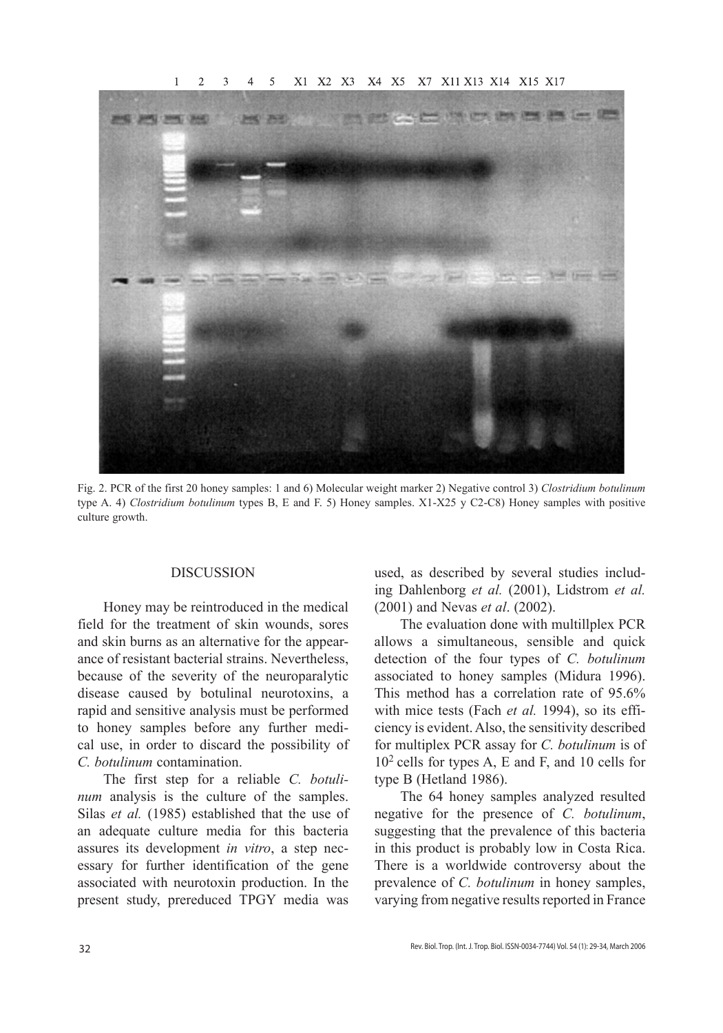

Fig. 2. PCR of the first 20 honey samples: 1 and 6) Molecular weight marker 2) Negative control 3) *Clostridium botulinum* type A. 4) *Clostridium botulinum* types B, E and F. 5) Honey samples. X1-X25 y C2-C8) Honey samples with positive culture growth.

#### **DISCUSSION**

Honey may be reintroduced in the medical field for the treatment of skin wounds, sores and skin burns as an alternative for the appearance of resistant bacterial strains. Nevertheless, because of the severity of the neuroparalytic disease caused by botulinal neurotoxins, a rapid and sensitive analysis must be performed to honey samples before any further medical use, in order to discard the possibility of *C. botulinum* contamination.

The first step for a reliable *C. botulinum* analysis is the culture of the samples. Silas *et al.* (1985) established that the use of an adequate culture media for this bacteria assures its development *in vitro*, a step necessary for further identification of the gene associated with neurotoxin production. In the present study, prereduced TPGY media was

used, as described by several studies including Dahlenborg *et al.* (2001), Lidstrom *et al.* (2001) and Nevas *et al*. (2002).

The evaluation done with multillplex PCR allows a simultaneous, sensible and quick detection of the four types of *C. botulinum* associated to honey samples (Midura 1996). This method has a correlation rate of 95.6% with mice tests (Fach *et al.* 1994), so its efficiency is evident. Also, the sensitivity described for multiplex PCR assay for *C. botulinum* is of 102 cells for types A, E and F, and 10 cells for type B (Hetland 1986).

The 64 honey samples analyzed resulted negative for the presence of *C. botulinum*, suggesting that the prevalence of this bacteria in this product is probably low in Costa Rica. There is a worldwide controversy about the prevalence of *C. botulinum* in honey samples, varying from negative results reported in France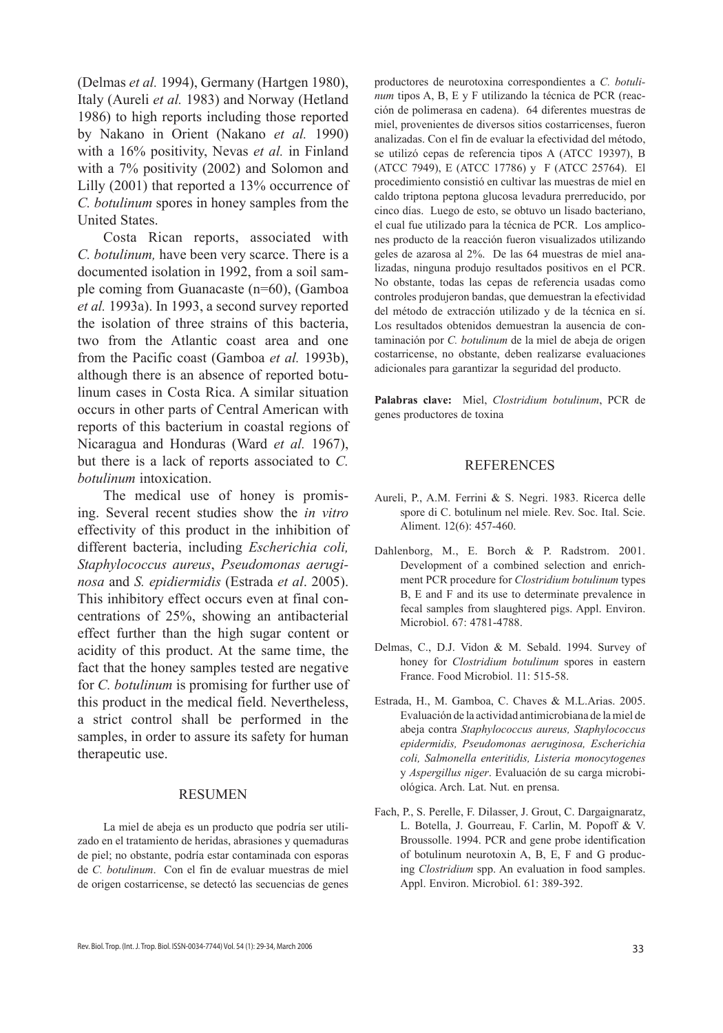(Delmas *et al.* 1994), Germany (Hartgen 1980), Italy (Aureli *et al.* 1983) and Norway (Hetland 1986) to high reports including those reported by Nakano in Orient (Nakano *et al.* 1990) with a 16% positivity, Nevas *et al.* in Finland with a 7% positivity (2002) and Solomon and Lilly (2001) that reported a 13% occurrence of *C. botulinum* spores in honey samples from the United States.

Costa Rican reports, associated with *C. botulinum,* have been very scarce. There is a documented isolation in 1992, from a soil sample coming from Guanacaste (n=60), (Gamboa *et al.* 1993a). In 1993, a second survey reported the isolation of three strains of this bacteria, two from the Atlantic coast area and one from the Pacific coast (Gamboa *et al.* 1993b), although there is an absence of reported botulinum cases in Costa Rica. A similar situation occurs in other parts of Central American with reports of this bacterium in coastal regions of Nicaragua and Honduras (Ward *et al.* 1967), but there is a lack of reports associated to *C. botulinum* intoxication.

The medical use of honey is promising. Several recent studies show the *in vitro* effectivity of this product in the inhibition of different bacteria, including *Escherichia coli, Staphylococcus aureus*, *Pseudomonas aeruginosa* and *S. epidiermidis* (Estrada *et al*. 2005). This inhibitory effect occurs even at final concentrations of 25%, showing an antibacterial effect further than the high sugar content or acidity of this product. At the same time, the fact that the honey samples tested are negative for *C. botulinum* is promising for further use of this product in the medical field. Nevertheless, a strict control shall be performed in the samples, in order to assure its safety for human therapeutic use.

#### RESUMEN

La miel de abeja es un producto que podría ser utilizado en el tratamiento de heridas, abrasiones y quemaduras de piel; no obstante, podría estar contaminada con esporas de *C. botulinum*. Con el fin de evaluar muestras de miel de origen costarricense, se detectó las secuencias de genes

productores de neurotoxina correspondientes a *C. botulinum* tipos A, B, E y F utilizando la técnica de PCR (reacción de polimerasa en cadena). 64 diferentes muestras de miel, provenientes de diversos sitios costarricenses, fueron analizadas. Con el fin de evaluar la efectividad del método, se utilizó cepas de referencia tipos A (ATCC 19397), B (ATCC 7949), E (ATCC 17786) y F (ATCC 25764). El procedimiento consistió en cultivar las muestras de miel en caldo triptona peptona glucosa levadura prerreducido, por cinco días. Luego de esto, se obtuvo un lisado bacteriano, el cual fue utilizado para la técnica de PCR. Los amplicones producto de la reacción fueron visualizados utilizando geles de azarosa al 2%. De las 64 muestras de miel analizadas, ninguna produjo resultados positivos en el PCR. No obstante, todas las cepas de referencia usadas como controles produjeron bandas, que demuestran la efectividad del método de extracción utilizado y de la técnica en sí. Los resultados obtenidos demuestran la ausencia de contaminación por *C. botulinum* de la miel de abeja de origen costarricense, no obstante, deben realizarse evaluaciones adicionales para garantizar la seguridad del producto.

**Palabras clave:** Miel, *Clostridium botulinum*, PCR de genes productores de toxina

## REFERENCES

- Aureli, P., A.M. Ferrini & S. Negri. 1983. Ricerca delle spore di C. botulinum nel miele. Rev. Soc. Ital. Scie. Aliment. 12(6): 457-460.
- Dahlenborg, M., E. Borch & P. Radstrom. 2001. Development of a combined selection and enrichment PCR procedure for *Clostridium botulinum* types B, E and F and its use to determinate prevalence in fecal samples from slaughtered pigs. Appl. Environ. Microbiol. 67: 4781-4788.
- Delmas, C., D.J. Vidon & M. Sebald. 1994. Survey of honey for *Clostridium botulinum* spores in eastern France. Food Microbiol. 11: 515-58.
- Estrada, H., M. Gamboa, C. Chaves & M.L.Arias. 2005. Evaluación de la actividad antimicrobiana de la miel de abeja contra *Staphylococcus aureus, Staphylococcus epidermidis, Pseudomonas aeruginosa, Escherichia coli, Salmonella enteritidis, Listeria monocytogenes* y *Aspergillus niger*. Evaluación de su carga microbiológica. Arch. Lat. Nut. en prensa.
- Fach, P., S. Perelle, F. Dilasser, J. Grout, C. Dargaignaratz, L. Botella, J. Gourreau, F. Carlin, M. Popoff & V. Broussolle. 1994. PCR and gene probe identification of botulinum neurotoxin A, B, E, F and G producing *Clostridium* spp. An evaluation in food samples. Appl. Environ. Microbiol. 61: 389-392.